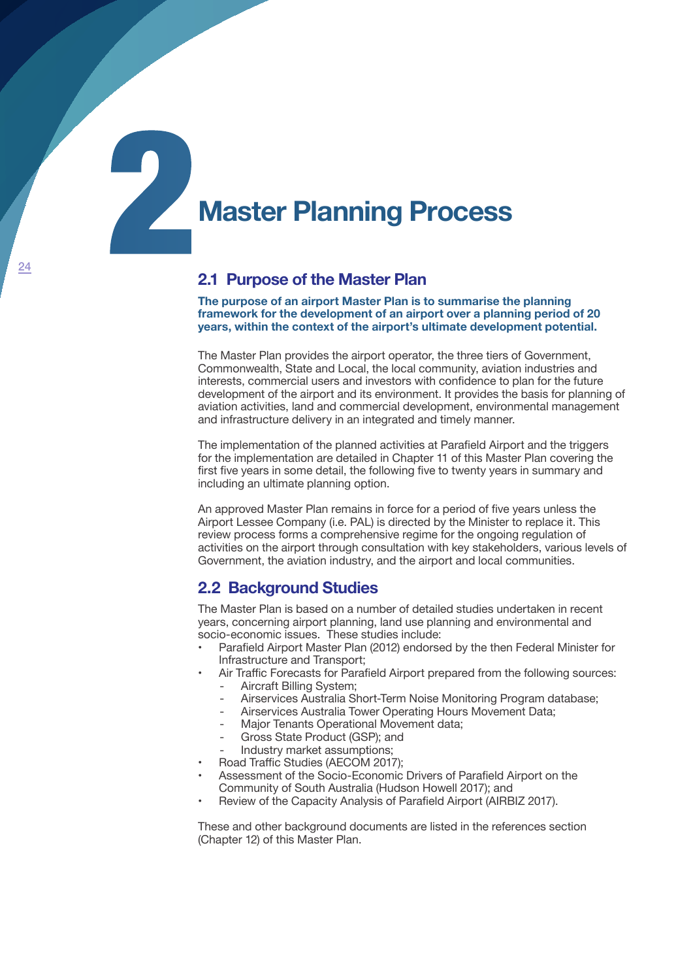# **Master Planning Process**

### **2.1 Purpose of the Master Plan**

**The purpose of an airport Master Plan is to summarise the planning framework for the development of an airport over a planning period of 20 years, within the context of the airport's ultimate development potential.**

The Master Plan provides the airport operator, the three tiers of Government, Commonwealth, State and Local, the local community, aviation industries and interests, commercial users and investors with confidence to plan for the future development of the airport and its environment. It provides the basis for planning of aviation activities, land and commercial development, environmental management and infrastructure delivery in an integrated and timely manner.

The implementation of the planned activities at Parafield Airport and the triggers for the implementation are detailed in Chapter 11 of this Master Plan covering the first five years in some detail, the following five to twenty years in summary and including an ultimate planning option.

An approved Master Plan remains in force for a period of five years unless the Airport Lessee Company (i.e. PAL) is directed by the Minister to replace it. This review process forms a comprehensive regime for the ongoing regulation of activities on the airport through consultation with key stakeholders, various levels of Government, the aviation industry, and the airport and local communities.

### **2.2 Background Studies**

The Master Plan is based on a number of detailed studies undertaken in recent years, concerning airport planning, land use planning and environmental and socio-economic issues. These studies include:

- Parafield Airport Master Plan (2012) endorsed by the then Federal Minister for Infrastructure and Transport;
- Air Traffic Forecasts for Parafield Airport prepared from the following sources: Aircraft Billing System:
	- Airservices Australia Short-Term Noise Monitoring Program database;
	- Airservices Australia Tower Operating Hours Movement Data;
	- Major Tenants Operational Movement data;
	- Gross State Product (GSP); and
	- Industry market assumptions;
- Road Traffic Studies (AECOM 2017);
- Assessment of the Socio-Economic Drivers of Parafield Airport on the Community of South Australia (Hudson Howell 2017); and
- Review of the Capacity Analysis of Parafield Airport (AIRBIZ 2017).

These and other background documents are listed in the references section (Chapter 12) of this Master Plan.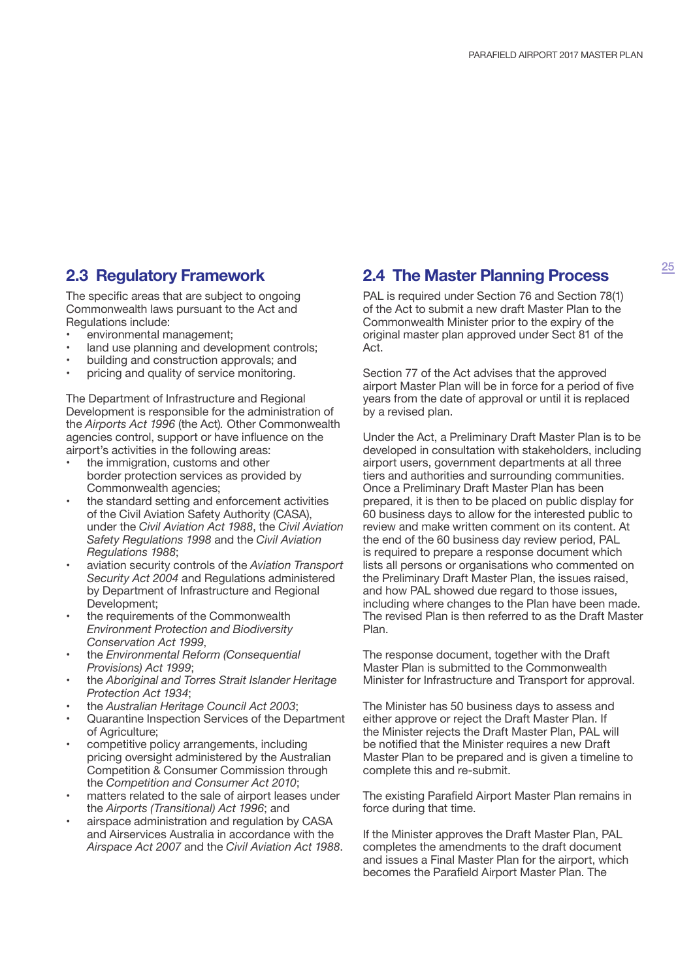### **2.3 Regulatory Framework**

The specific areas that are subject to ongoing Commonwealth laws pursuant to the Act and Regulations include:

- environmental management;
- land use planning and development controls;
- building and construction approvals; and
- pricing and quality of service monitoring.

The Department of Infrastructure and Regional Development is responsible for the administration of the *Airports Act 1996* (the Act)*.* Other Commonwealth agencies control, support or have influence on the airport's activities in the following areas:

- the immigration, customs and other border protection services as provided by Commonwealth agencies;
- the standard setting and enforcement activities of the Civil Aviation Safety Authority (CASA), under the *Civil Aviation Act 1988*, the *Civil Aviation Safety Regulations 1998* and the *Civil Aviation Regulations 1988*;
- aviation security controls of the *Aviation Transport Security Act 2004* and Regulations administered by Department of Infrastructure and Regional Development;
- the requirements of the Commonwealth *Environment Protection and Biodiversity Conservation Act 1999*,
- the *Environmental Reform (Consequential Provisions) Act 1999*;
- the *Aboriginal and Torres Strait Islander Heritage Protection Act 1934*;
- the *Australian Heritage Council Act 2003*;
- Quarantine Inspection Services of the Department of Agriculture;
- competitive policy arrangements, including pricing oversight administered by the Australian Competition & Consumer Commission through the *Competition and Consumer Act 2010*;
- matters related to the sale of airport leases under the *Airports (Transitional) Act 1996*; and
- airspace administration and regulation by CASA and Airservices Australia in accordance with the *Airspace Act 2007* and the *Civil Aviation Act 1988*.

### **2.4 The Master Planning Process**

PAL is required under Section 76 and Section 78(1) of the Act to submit a new draft Master Plan to the Commonwealth Minister prior to the expiry of the original master plan approved under Sect 81 of the Act.

Section 77 of the Act advises that the approved airport Master Plan will be in force for a period of five years from the date of approval or until it is replaced by a revised plan.

Under the Act, a Preliminary Draft Master Plan is to be developed in consultation with stakeholders, including airport users, government departments at all three tiers and authorities and surrounding communities. Once a Preliminary Draft Master Plan has been prepared, it is then to be placed on public display for 60 business days to allow for the interested public to review and make written comment on its content. At the end of the 60 business day review period, PAL is required to prepare a response document which lists all persons or organisations who commented on the Preliminary Draft Master Plan, the issues raised, and how PAL showed due regard to those issues, including where changes to the Plan have been made. The revised Plan is then referred to as the Draft Master Plan.

The response document, together with the Draft Master Plan is submitted to the Commonwealth Minister for Infrastructure and Transport for approval.

The Minister has 50 business days to assess and either approve or reject the Draft Master Plan. If the Minister rejects the Draft Master Plan, PAL will be notified that the Minister requires a new Draft Master Plan to be prepared and is given a timeline to complete this and re-submit.

The existing Parafield Airport Master Plan remains in force during that time.

If the Minister approves the Draft Master Plan, PAL completes the amendments to the draft document and issues a Final Master Plan for the airport, which becomes the Parafield Airport Master Plan. The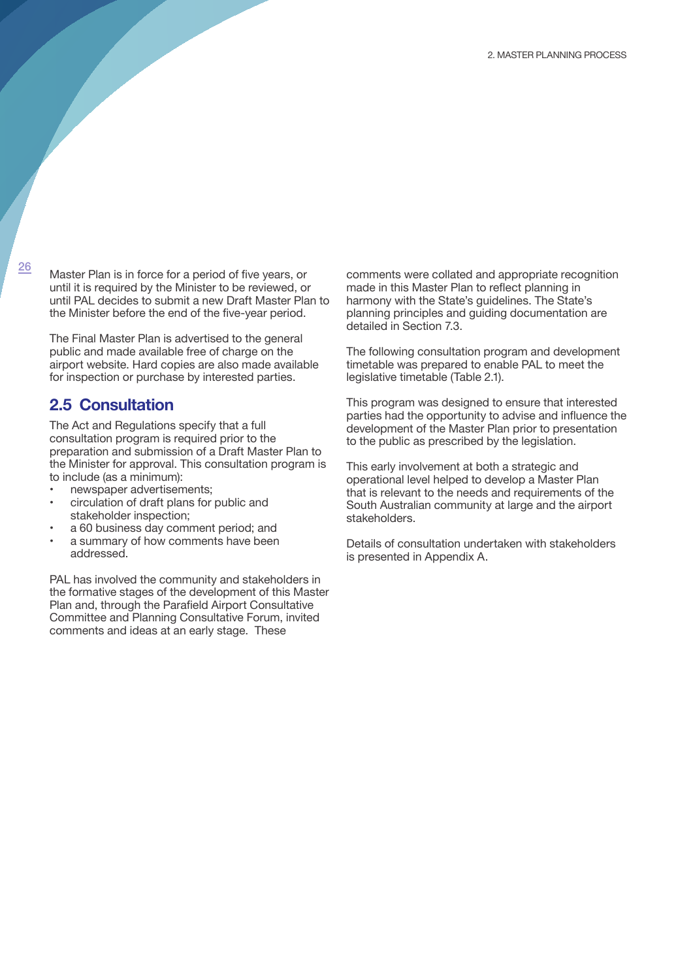26

Master Plan is in force for a period of five years, or until it is required by the Minister to be reviewed, or until PAL decides to submit a new Draft Master Plan to the Minister before the end of the five-year period.

The Final Master Plan is advertised to the general public and made available free of charge on the airport website. Hard copies are also made available for inspection or purchase by interested parties.

## **2.5 Consultation**

The Act and Regulations specify that a full consultation program is required prior to the preparation and submission of a Draft Master Plan to the Minister for approval. This consultation program is to include (as a minimum):

- newspaper advertisements;
- circulation of draft plans for public and stakeholder inspection;
- a 60 business day comment period; and
- a summary of how comments have been addressed.

PAL has involved the community and stakeholders in the formative stages of the development of this Master Plan and, through the Parafield Airport Consultative Committee and Planning Consultative Forum, invited comments and ideas at an early stage. These

comments were collated and appropriate recognition made in this Master Plan to reflect planning in harmony with the State's guidelines. The State's planning principles and guiding documentation are detailed in Section 7.3.

The following consultation program and development timetable was prepared to enable PAL to meet the legislative timetable (Table 2.1).

This program was designed to ensure that interested parties had the opportunity to advise and influence the development of the Master Plan prior to presentation to the public as prescribed by the legislation.

This early involvement at both a strategic and operational level helped to develop a Master Plan that is relevant to the needs and requirements of the South Australian community at large and the airport stakeholders.

Details of consultation undertaken with stakeholders is presented in Appendix A.